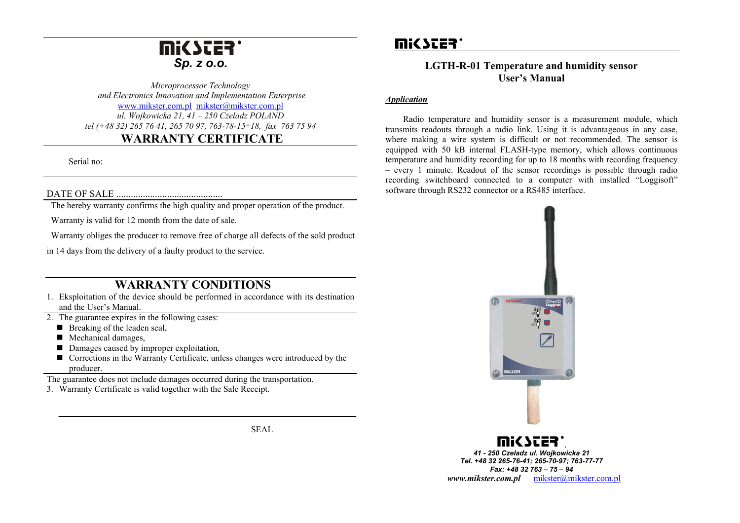## mic Ster *Sp. z o.o.*

*Microprocessor Technology and Electronics Innovation and Implementation Enterprise*  www.mikster.com.pl mikster@mikster.com.pl *ul. Wojkowicka 21, 41 – 250 Czeladz POLAND tel (+48 32) 265 76 41, 265 70 97, 763-78-15÷18, fax 763 75 94*

## **WARRANTY CERTIFICATE**

Serial no:

#### DATE OF SALE ............................................

The hereby warranty confirms the high quality and proper operation of the product.

Warranty is valid for 12 month from the date of sale.

Warranty obliges the producer to remove free of charge all defects of the sold product

in 14 days from the delivery of a faulty product to the service.

### **WARRANTY CONDITIONS**

- 1. Eksploitation of the device should be performed in accordance with its destination and the User's Manual.
- 2. The guarantee expires in the following cases:
	- $\blacksquare$  Breaking of the leaden seal,
	- Mechanical damages,
	- Damages caused by improper exploitation,
	- Corrections in the Warranty Certificate, unless changes were introduced by the producer.
- The guarantee does not include damages occurred during the transportation.
- 3. Warranty Certificate is valid together with the Sale Receipt.

SEAL

# mic sces:

### **LGTH-R-01 Temperature and humidity sensor User's Manual**

#### *Application*

 Radio temperature and humidity sensor is a measurement module, which transmits readouts through a radio link. Using it is advantageous in any case, where making a wire system is difficult or not recommended. The sensor is equipped with 50 kB internal FLASH-type memory, which allows continuous temperature and humidity recording for up to 18 months with recording frequency – every 1 minute. Readout of the sensor recordings is possible through radio recording switchboard connected to a computer with installed "Loggisoft" software through RS232 connector or a RS485 interface.



*Tel. +48 32 265-76-41; 265-70-97; 763-77-77 Fax: +48 32 763 – 75 – 94 www.mikster.com.pl* mikster@mikster.com.pl